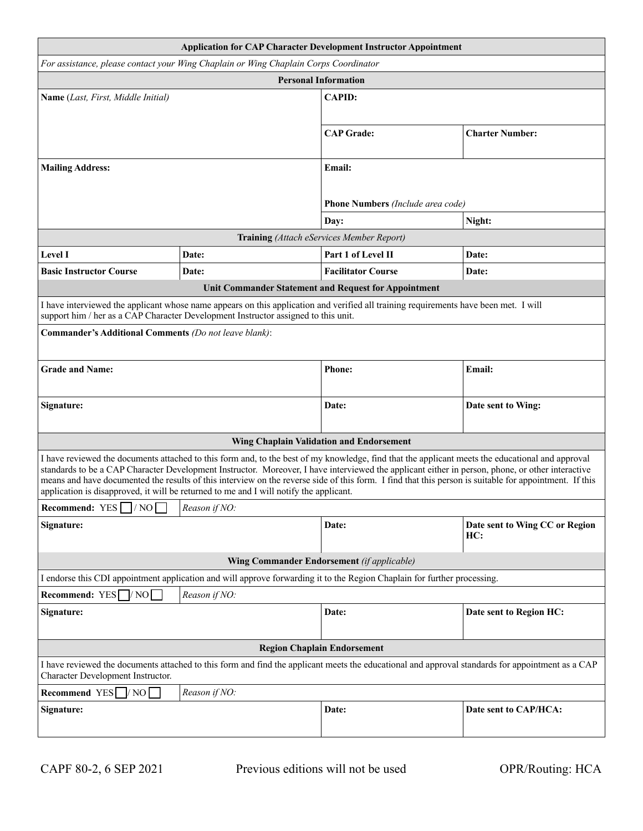|                                                                                                                                                                                                                                                                                                                                                                                                                                                                                                                                                          |               | <b>Application for CAP Character Development Instructor Appointment</b> |                                       |  |
|----------------------------------------------------------------------------------------------------------------------------------------------------------------------------------------------------------------------------------------------------------------------------------------------------------------------------------------------------------------------------------------------------------------------------------------------------------------------------------------------------------------------------------------------------------|---------------|-------------------------------------------------------------------------|---------------------------------------|--|
| For assistance, please contact your Wing Chaplain or Wing Chaplain Corps Coordinator                                                                                                                                                                                                                                                                                                                                                                                                                                                                     |               |                                                                         |                                       |  |
| <b>Personal Information</b>                                                                                                                                                                                                                                                                                                                                                                                                                                                                                                                              |               |                                                                         |                                       |  |
| Name (Last, First, Middle Initial)                                                                                                                                                                                                                                                                                                                                                                                                                                                                                                                       |               | <b>CAPID:</b>                                                           |                                       |  |
|                                                                                                                                                                                                                                                                                                                                                                                                                                                                                                                                                          |               | <b>CAP</b> Grade:                                                       | <b>Charter Number:</b>                |  |
| <b>Mailing Address:</b>                                                                                                                                                                                                                                                                                                                                                                                                                                                                                                                                  |               | Email:                                                                  |                                       |  |
|                                                                                                                                                                                                                                                                                                                                                                                                                                                                                                                                                          |               | Phone Numbers (Include area code)                                       |                                       |  |
|                                                                                                                                                                                                                                                                                                                                                                                                                                                                                                                                                          |               | Day:                                                                    | Night:                                |  |
|                                                                                                                                                                                                                                                                                                                                                                                                                                                                                                                                                          |               | Training (Attach eServices Member Report)                               |                                       |  |
| <b>Level I</b>                                                                                                                                                                                                                                                                                                                                                                                                                                                                                                                                           | Date:         | Part 1 of Level II                                                      | Date:                                 |  |
| <b>Basic Instructor Course</b>                                                                                                                                                                                                                                                                                                                                                                                                                                                                                                                           | Date:         | <b>Facilitator Course</b>                                               | Date:                                 |  |
|                                                                                                                                                                                                                                                                                                                                                                                                                                                                                                                                                          |               | Unit Commander Statement and Request for Appointment                    |                                       |  |
| I have interviewed the applicant whose name appears on this application and verified all training requirements have been met. I will<br>support him / her as a CAP Character Development Instructor assigned to this unit.<br>Commander's Additional Comments (Do not leave blank):                                                                                                                                                                                                                                                                      |               |                                                                         |                                       |  |
| <b>Grade and Name:</b>                                                                                                                                                                                                                                                                                                                                                                                                                                                                                                                                   |               | <b>Phone:</b>                                                           | Email:                                |  |
| Signature:                                                                                                                                                                                                                                                                                                                                                                                                                                                                                                                                               |               | Date:                                                                   | Date sent to Wing:                    |  |
|                                                                                                                                                                                                                                                                                                                                                                                                                                                                                                                                                          |               | <b>Wing Chaplain Validation and Endorsement</b>                         |                                       |  |
| I have reviewed the documents attached to this form and, to the best of my knowledge, find that the applicant meets the educational and approval<br>standards to be a CAP Character Development Instructor. Moreover, I have interviewed the applicant either in person, phone, or other interactive<br>means and have documented the results of this interview on the reverse side of this form. I find that this person is suitable for appointment. If this<br>application is disapproved, it will be returned to me and I will notify the applicant. |               |                                                                         |                                       |  |
| <b>Recommend:</b> YES $\Box$ /NO $\Box$ Reason if NO:                                                                                                                                                                                                                                                                                                                                                                                                                                                                                                    |               |                                                                         |                                       |  |
| Signature:                                                                                                                                                                                                                                                                                                                                                                                                                                                                                                                                               |               | Date:                                                                   | Date sent to Wing CC or Region<br>HC: |  |
| <b>Wing Commander Endorsement</b> (if applicable)                                                                                                                                                                                                                                                                                                                                                                                                                                                                                                        |               |                                                                         |                                       |  |
| I endorse this CDI appointment application and will approve forwarding it to the Region Chaplain for further processing.                                                                                                                                                                                                                                                                                                                                                                                                                                 |               |                                                                         |                                       |  |
| Recommend: $YES$ $\sqrt{NO}$<br>Reason if NO:                                                                                                                                                                                                                                                                                                                                                                                                                                                                                                            |               |                                                                         |                                       |  |
| Signature:                                                                                                                                                                                                                                                                                                                                                                                                                                                                                                                                               |               | Date:                                                                   | Date sent to Region HC:               |  |
| <b>Region Chaplain Endorsement</b>                                                                                                                                                                                                                                                                                                                                                                                                                                                                                                                       |               |                                                                         |                                       |  |
| I have reviewed the documents attached to this form and find the applicant meets the educational and approval standards for appointment as a CAP<br>Character Development Instructor.                                                                                                                                                                                                                                                                                                                                                                    |               |                                                                         |                                       |  |
| Recommend YES $\Box/\text{NO}$                                                                                                                                                                                                                                                                                                                                                                                                                                                                                                                           | Reason if NO: |                                                                         |                                       |  |
| Signature:                                                                                                                                                                                                                                                                                                                                                                                                                                                                                                                                               |               | Date:                                                                   | Date sent to CAP/HCA:                 |  |